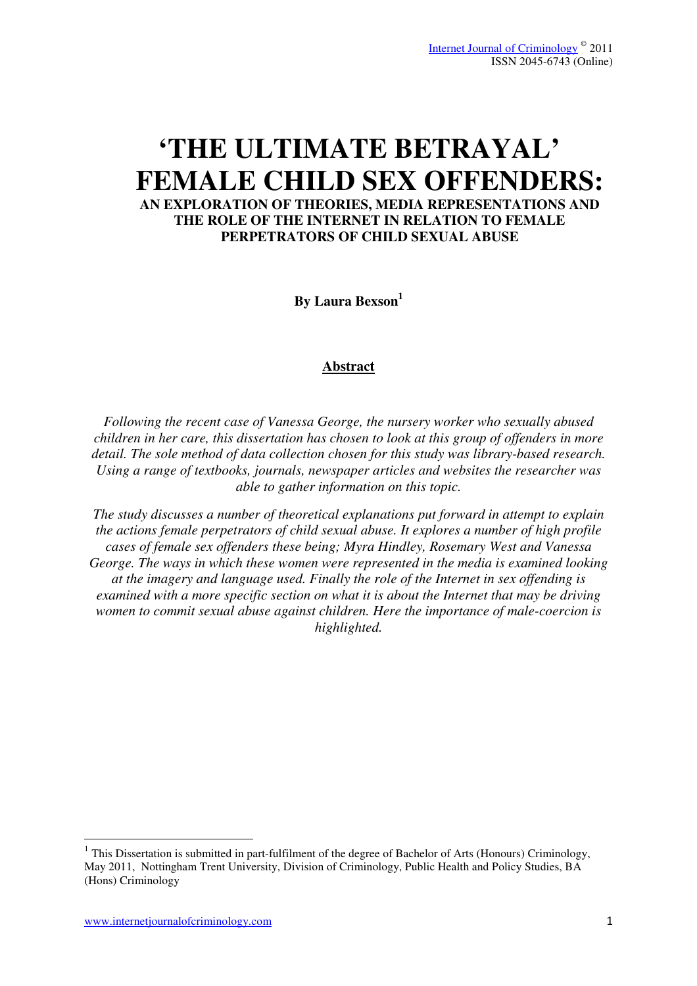# **'THE ULTIMATE BETRAYAL' FEMALE CHILD SEX OFFENDERS: AN EXPLORATION OF THEORIES, MEDIA REPRESENTATIONS AND THE ROLE OF THE INTERNET IN RELATION TO FEMALE PERPETRATORS OF CHILD SEXUAL ABUSE**

**By Laura Bexson<sup>1</sup>**

### **Abstract**

*Following the recent case of Vanessa George, the nursery worker who sexually abused children in her care, this dissertation has chosen to look at this group of offenders in more detail. The sole method of data collection chosen for this study was library-based research. Using a range of textbooks, journals, newspaper articles and websites the researcher was able to gather information on this topic.* 

*The study discusses a number of theoretical explanations put forward in attempt to explain the actions female perpetrators of child sexual abuse. It explores a number of high profile cases of female sex offenders these being; Myra Hindley, Rosemary West and Vanessa George. The ways in which these women were represented in the media is examined looking at the imagery and language used. Finally the role of the Internet in sex offending is examined with a more specific section on what it is about the Internet that may be driving women to commit sexual abuse against children. Here the importance of male-coercion is highlighted.* 

 $\overline{a}$ 

<sup>&</sup>lt;sup>1</sup> This Dissertation is submitted in part-fulfilment of the degree of Bachelor of Arts (Honours) Criminology, May 2011, Nottingham Trent University, Division of Criminology, Public Health and Policy Studies, BA (Hons) Criminology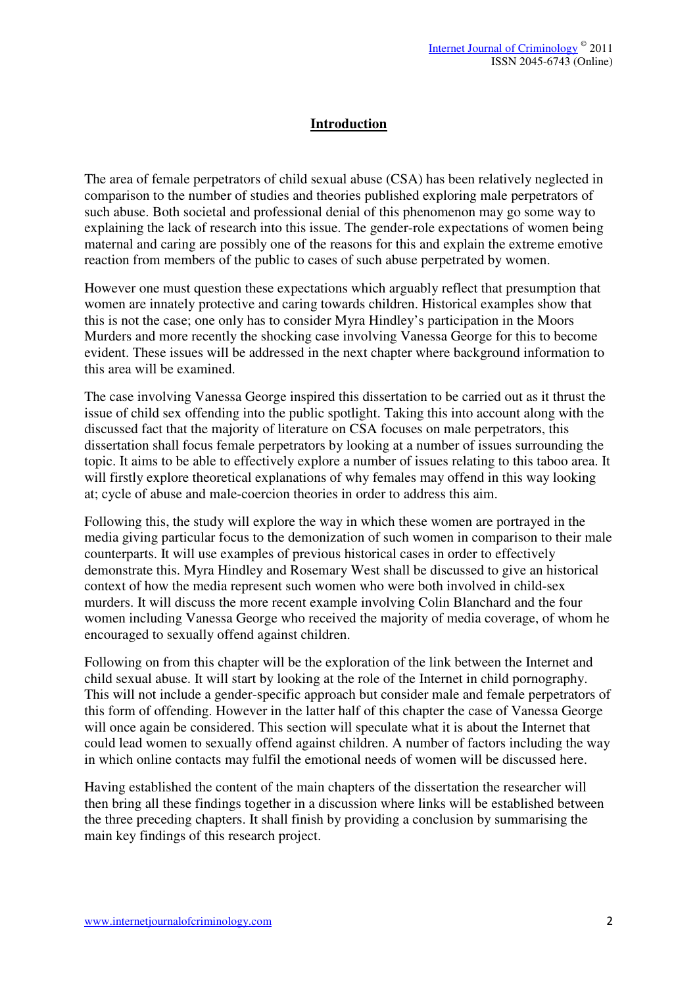# **Introduction**

The area of female perpetrators of child sexual abuse (CSA) has been relatively neglected in comparison to the number of studies and theories published exploring male perpetrators of such abuse. Both societal and professional denial of this phenomenon may go some way to explaining the lack of research into this issue. The gender-role expectations of women being maternal and caring are possibly one of the reasons for this and explain the extreme emotive reaction from members of the public to cases of such abuse perpetrated by women.

However one must question these expectations which arguably reflect that presumption that women are innately protective and caring towards children. Historical examples show that this is not the case; one only has to consider Myra Hindley's participation in the Moors Murders and more recently the shocking case involving Vanessa George for this to become evident. These issues will be addressed in the next chapter where background information to this area will be examined.

The case involving Vanessa George inspired this dissertation to be carried out as it thrust the issue of child sex offending into the public spotlight. Taking this into account along with the discussed fact that the majority of literature on CSA focuses on male perpetrators, this dissertation shall focus female perpetrators by looking at a number of issues surrounding the topic. It aims to be able to effectively explore a number of issues relating to this taboo area. It will firstly explore theoretical explanations of why females may offend in this way looking at; cycle of abuse and male-coercion theories in order to address this aim.

Following this, the study will explore the way in which these women are portrayed in the media giving particular focus to the demonization of such women in comparison to their male counterparts. It will use examples of previous historical cases in order to effectively demonstrate this. Myra Hindley and Rosemary West shall be discussed to give an historical context of how the media represent such women who were both involved in child-sex murders. It will discuss the more recent example involving Colin Blanchard and the four women including Vanessa George who received the majority of media coverage, of whom he encouraged to sexually offend against children.

Following on from this chapter will be the exploration of the link between the Internet and child sexual abuse. It will start by looking at the role of the Internet in child pornography. This will not include a gender-specific approach but consider male and female perpetrators of this form of offending. However in the latter half of this chapter the case of Vanessa George will once again be considered. This section will speculate what it is about the Internet that could lead women to sexually offend against children. A number of factors including the way in which online contacts may fulfil the emotional needs of women will be discussed here.

Having established the content of the main chapters of the dissertation the researcher will then bring all these findings together in a discussion where links will be established between the three preceding chapters. It shall finish by providing a conclusion by summarising the main key findings of this research project.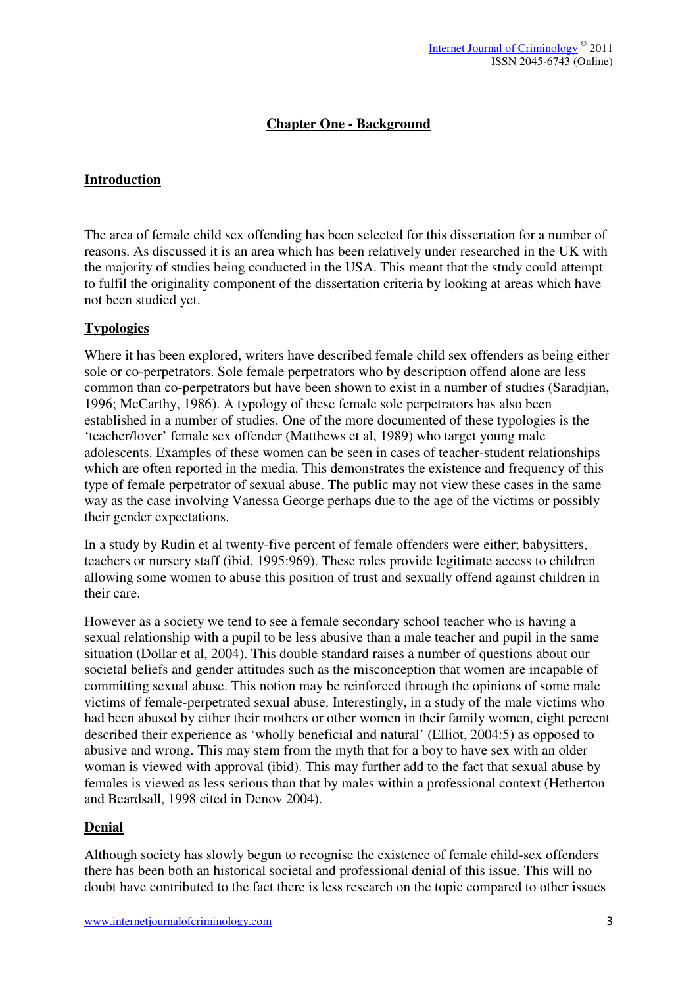# **Chapter One - Background**

### **Introduction**

The area of female child sex offending has been selected for this dissertation for a number of reasons. As discussed it is an area which has been relatively under researched in the UK with the majority of studies being conducted in the USA. This meant that the study could attempt to fulfil the originality component of the dissertation criteria by looking at areas which have not been studied yet.

#### **Typologies**

Where it has been explored, writers have described female child sex offenders as being either sole or co-perpetrators. Sole female perpetrators who by description offend alone are less common than co-perpetrators but have been shown to exist in a number of studies (Saradjian, 1996; McCarthy, 1986). A typology of these female sole perpetrators has also been established in a number of studies. One of the more documented of these typologies is the 'teacher/lover' female sex offender (Matthews et al, 1989) who target young male adolescents. Examples of these women can be seen in cases of teacher-student relationships which are often reported in the media. This demonstrates the existence and frequency of this type of female perpetrator of sexual abuse. The public may not view these cases in the same way as the case involving Vanessa George perhaps due to the age of the victims or possibly their gender expectations.

In a study by Rudin et al twenty-five percent of female offenders were either; babysitters, teachers or nursery staff (ibid, 1995:969). These roles provide legitimate access to children allowing some women to abuse this position of trust and sexually offend against children in their care.

However as a society we tend to see a female secondary school teacher who is having a sexual relationship with a pupil to be less abusive than a male teacher and pupil in the same situation (Dollar et al, 2004). This double standard raises a number of questions about our societal beliefs and gender attitudes such as the misconception that women are incapable of committing sexual abuse. This notion may be reinforced through the opinions of some male victims of female-perpetrated sexual abuse. Interestingly, in a study of the male victims who had been abused by either their mothers or other women in their family women, eight percent described their experience as 'wholly beneficial and natural' (Elliot, 2004:5) as opposed to abusive and wrong. This may stem from the myth that for a boy to have sex with an older woman is viewed with approval (ibid). This may further add to the fact that sexual abuse by females is viewed as less serious than that by males within a professional context (Hetherton and Beardsall, 1998 cited in Denov 2004).

#### **Denial**

Although society has slowly begun to recognise the existence of female child-sex offenders there has been both an historical societal and professional denial of this issue. This will no doubt have contributed to the fact there is less research on the topic compared to other issues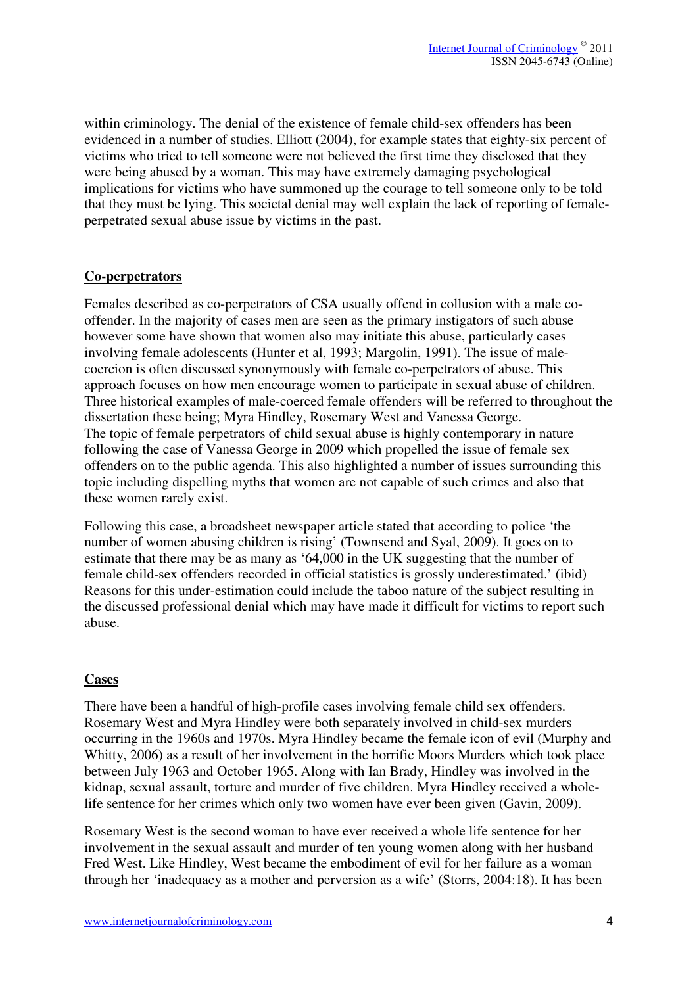within criminology. The denial of the existence of female child-sex offenders has been evidenced in a number of studies. Elliott (2004), for example states that eighty-six percent of victims who tried to tell someone were not believed the first time they disclosed that they were being abused by a woman. This may have extremely damaging psychological implications for victims who have summoned up the courage to tell someone only to be told that they must be lying. This societal denial may well explain the lack of reporting of femaleperpetrated sexual abuse issue by victims in the past.

# **Co-perpetrators**

Females described as co-perpetrators of CSA usually offend in collusion with a male cooffender. In the majority of cases men are seen as the primary instigators of such abuse however some have shown that women also may initiate this abuse, particularly cases involving female adolescents (Hunter et al, 1993; Margolin, 1991). The issue of malecoercion is often discussed synonymously with female co-perpetrators of abuse. This approach focuses on how men encourage women to participate in sexual abuse of children. Three historical examples of male-coerced female offenders will be referred to throughout the dissertation these being; Myra Hindley, Rosemary West and Vanessa George. The topic of female perpetrators of child sexual abuse is highly contemporary in nature following the case of Vanessa George in 2009 which propelled the issue of female sex offenders on to the public agenda. This also highlighted a number of issues surrounding this topic including dispelling myths that women are not capable of such crimes and also that these women rarely exist.

Following this case, a broadsheet newspaper article stated that according to police 'the number of women abusing children is rising' (Townsend and Syal, 2009). It goes on to estimate that there may be as many as '64,000 in the UK suggesting that the number of female child-sex offenders recorded in official statistics is grossly underestimated.' (ibid) Reasons for this under-estimation could include the taboo nature of the subject resulting in the discussed professional denial which may have made it difficult for victims to report such abuse.

### **Cases**

There have been a handful of high-profile cases involving female child sex offenders. Rosemary West and Myra Hindley were both separately involved in child-sex murders occurring in the 1960s and 1970s. Myra Hindley became the female icon of evil (Murphy and Whitty, 2006) as a result of her involvement in the horrific Moors Murders which took place between July 1963 and October 1965. Along with Ian Brady, Hindley was involved in the kidnap, sexual assault, torture and murder of five children. Myra Hindley received a wholelife sentence for her crimes which only two women have ever been given (Gavin, 2009).

Rosemary West is the second woman to have ever received a whole life sentence for her involvement in the sexual assault and murder of ten young women along with her husband Fred West. Like Hindley, West became the embodiment of evil for her failure as a woman through her 'inadequacy as a mother and perversion as a wife' (Storrs, 2004:18). It has been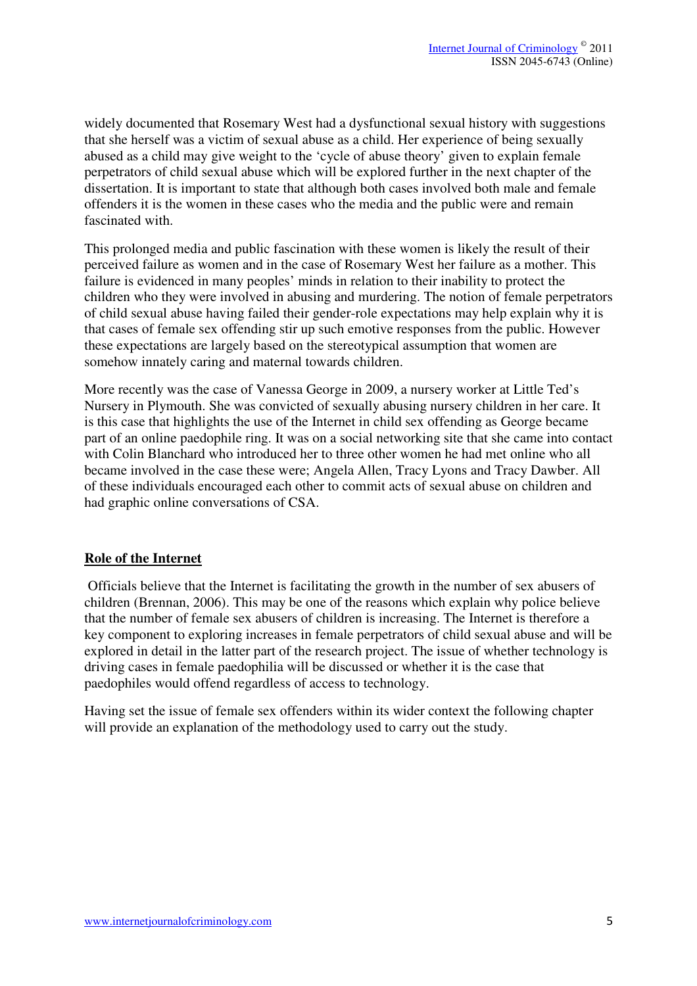widely documented that Rosemary West had a dysfunctional sexual history with suggestions that she herself was a victim of sexual abuse as a child. Her experience of being sexually abused as a child may give weight to the 'cycle of abuse theory' given to explain female perpetrators of child sexual abuse which will be explored further in the next chapter of the dissertation. It is important to state that although both cases involved both male and female offenders it is the women in these cases who the media and the public were and remain fascinated with.

This prolonged media and public fascination with these women is likely the result of their perceived failure as women and in the case of Rosemary West her failure as a mother. This failure is evidenced in many peoples' minds in relation to their inability to protect the children who they were involved in abusing and murdering. The notion of female perpetrators of child sexual abuse having failed their gender-role expectations may help explain why it is that cases of female sex offending stir up such emotive responses from the public. However these expectations are largely based on the stereotypical assumption that women are somehow innately caring and maternal towards children.

More recently was the case of Vanessa George in 2009, a nursery worker at Little Ted's Nursery in Plymouth. She was convicted of sexually abusing nursery children in her care. It is this case that highlights the use of the Internet in child sex offending as George became part of an online paedophile ring. It was on a social networking site that she came into contact with Colin Blanchard who introduced her to three other women he had met online who all became involved in the case these were; Angela Allen, Tracy Lyons and Tracy Dawber. All of these individuals encouraged each other to commit acts of sexual abuse on children and had graphic online conversations of CSA.

# **Role of the Internet**

 Officials believe that the Internet is facilitating the growth in the number of sex abusers of children (Brennan, 2006). This may be one of the reasons which explain why police believe that the number of female sex abusers of children is increasing. The Internet is therefore a key component to exploring increases in female perpetrators of child sexual abuse and will be explored in detail in the latter part of the research project. The issue of whether technology is driving cases in female paedophilia will be discussed or whether it is the case that paedophiles would offend regardless of access to technology.

Having set the issue of female sex offenders within its wider context the following chapter will provide an explanation of the methodology used to carry out the study.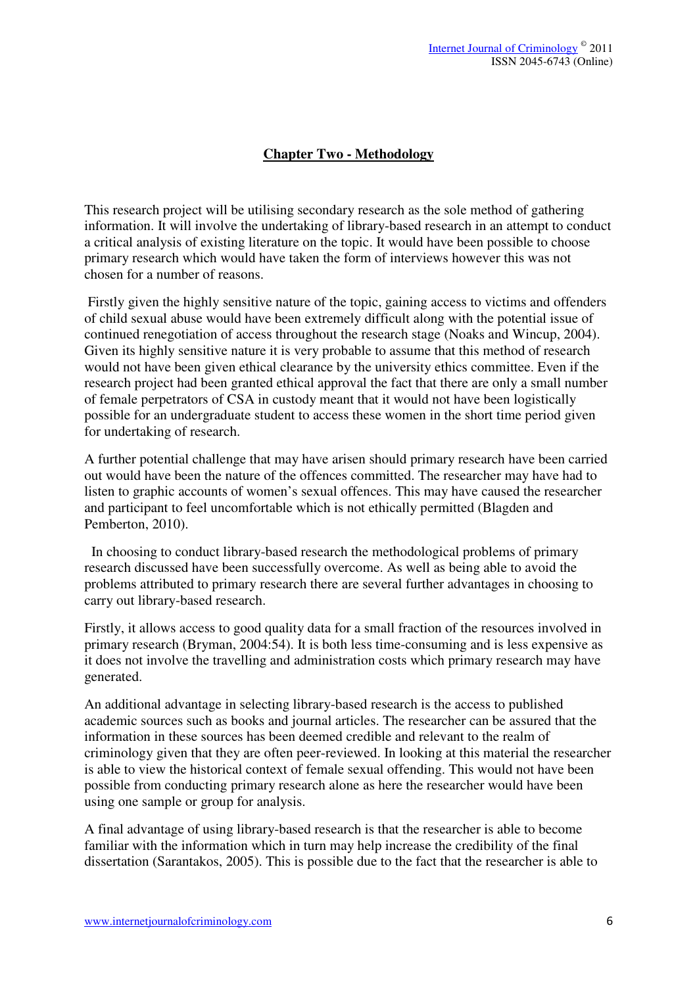### **Chapter Two - Methodology**

This research project will be utilising secondary research as the sole method of gathering information. It will involve the undertaking of library-based research in an attempt to conduct a critical analysis of existing literature on the topic. It would have been possible to choose primary research which would have taken the form of interviews however this was not chosen for a number of reasons.

 Firstly given the highly sensitive nature of the topic, gaining access to victims and offenders of child sexual abuse would have been extremely difficult along with the potential issue of continued renegotiation of access throughout the research stage (Noaks and Wincup, 2004). Given its highly sensitive nature it is very probable to assume that this method of research would not have been given ethical clearance by the university ethics committee. Even if the research project had been granted ethical approval the fact that there are only a small number of female perpetrators of CSA in custody meant that it would not have been logistically possible for an undergraduate student to access these women in the short time period given for undertaking of research.

A further potential challenge that may have arisen should primary research have been carried out would have been the nature of the offences committed. The researcher may have had to listen to graphic accounts of women's sexual offences. This may have caused the researcher and participant to feel uncomfortable which is not ethically permitted (Blagden and Pemberton, 2010).

 In choosing to conduct library-based research the methodological problems of primary research discussed have been successfully overcome. As well as being able to avoid the problems attributed to primary research there are several further advantages in choosing to carry out library-based research.

Firstly, it allows access to good quality data for a small fraction of the resources involved in primary research (Bryman, 2004:54). It is both less time-consuming and is less expensive as it does not involve the travelling and administration costs which primary research may have generated.

An additional advantage in selecting library-based research is the access to published academic sources such as books and journal articles. The researcher can be assured that the information in these sources has been deemed credible and relevant to the realm of criminology given that they are often peer-reviewed. In looking at this material the researcher is able to view the historical context of female sexual offending. This would not have been possible from conducting primary research alone as here the researcher would have been using one sample or group for analysis.

A final advantage of using library-based research is that the researcher is able to become familiar with the information which in turn may help increase the credibility of the final dissertation (Sarantakos, 2005). This is possible due to the fact that the researcher is able to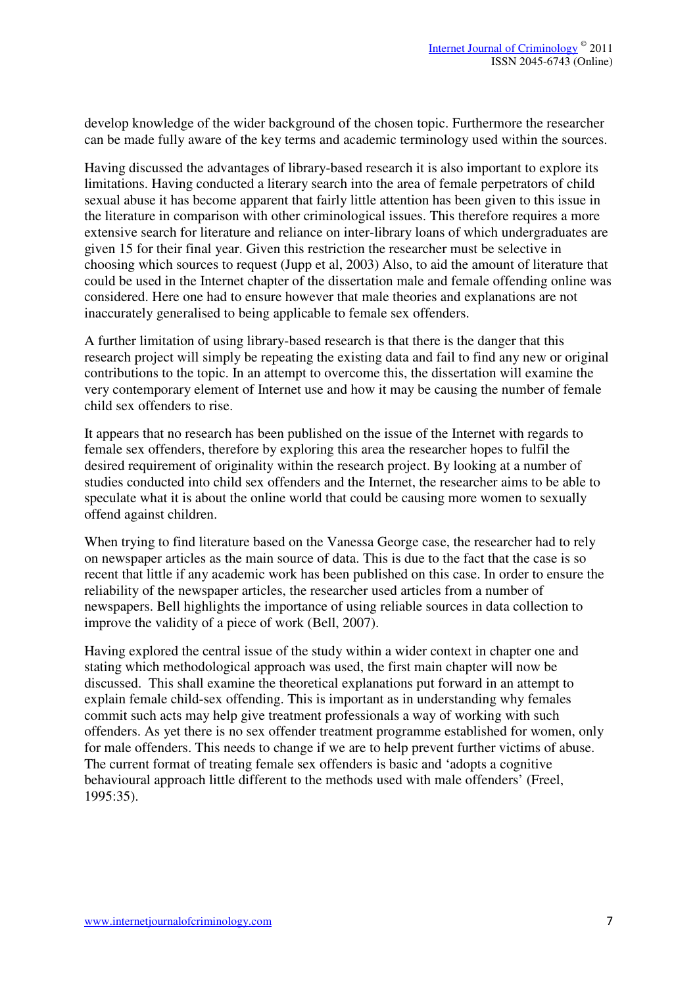develop knowledge of the wider background of the chosen topic. Furthermore the researcher can be made fully aware of the key terms and academic terminology used within the sources.

Having discussed the advantages of library-based research it is also important to explore its limitations. Having conducted a literary search into the area of female perpetrators of child sexual abuse it has become apparent that fairly little attention has been given to this issue in the literature in comparison with other criminological issues. This therefore requires a more extensive search for literature and reliance on inter-library loans of which undergraduates are given 15 for their final year. Given this restriction the researcher must be selective in choosing which sources to request (Jupp et al, 2003) Also, to aid the amount of literature that could be used in the Internet chapter of the dissertation male and female offending online was considered. Here one had to ensure however that male theories and explanations are not inaccurately generalised to being applicable to female sex offenders.

A further limitation of using library-based research is that there is the danger that this research project will simply be repeating the existing data and fail to find any new or original contributions to the topic. In an attempt to overcome this, the dissertation will examine the very contemporary element of Internet use and how it may be causing the number of female child sex offenders to rise.

It appears that no research has been published on the issue of the Internet with regards to female sex offenders, therefore by exploring this area the researcher hopes to fulfil the desired requirement of originality within the research project. By looking at a number of studies conducted into child sex offenders and the Internet, the researcher aims to be able to speculate what it is about the online world that could be causing more women to sexually offend against children.

When trying to find literature based on the Vanessa George case, the researcher had to rely on newspaper articles as the main source of data. This is due to the fact that the case is so recent that little if any academic work has been published on this case. In order to ensure the reliability of the newspaper articles, the researcher used articles from a number of newspapers. Bell highlights the importance of using reliable sources in data collection to improve the validity of a piece of work (Bell, 2007).

Having explored the central issue of the study within a wider context in chapter one and stating which methodological approach was used, the first main chapter will now be discussed. This shall examine the theoretical explanations put forward in an attempt to explain female child-sex offending. This is important as in understanding why females commit such acts may help give treatment professionals a way of working with such offenders. As yet there is no sex offender treatment programme established for women, only for male offenders. This needs to change if we are to help prevent further victims of abuse. The current format of treating female sex offenders is basic and 'adopts a cognitive behavioural approach little different to the methods used with male offenders' (Freel, 1995:35).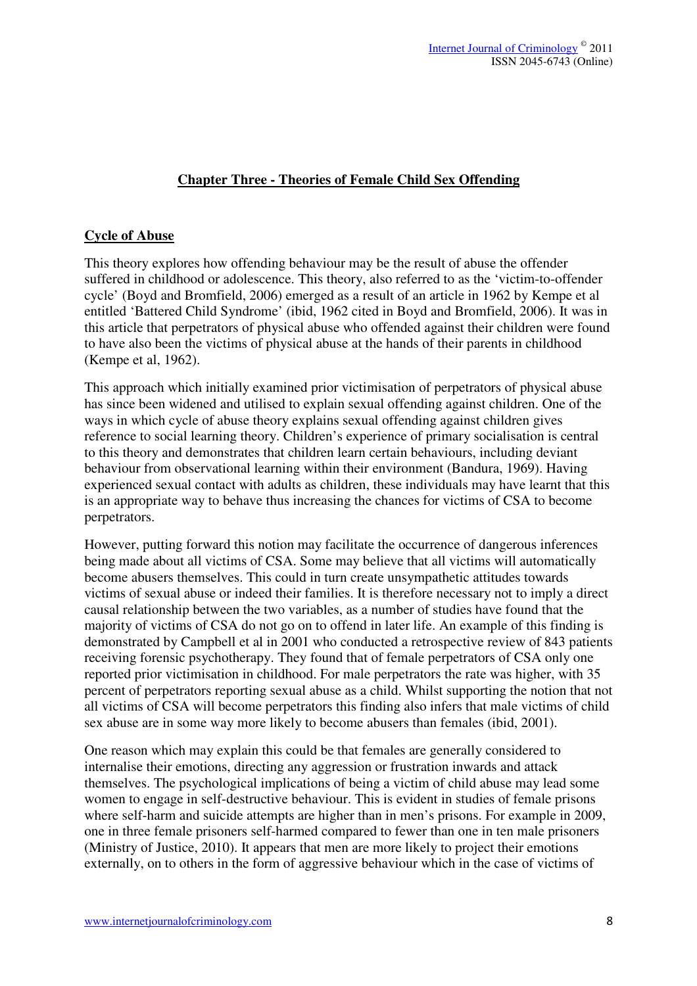# **Chapter Three - Theories of Female Child Sex Offending**

### **Cycle of Abuse**

This theory explores how offending behaviour may be the result of abuse the offender suffered in childhood or adolescence. This theory, also referred to as the 'victim-to-offender cycle' (Boyd and Bromfield, 2006) emerged as a result of an article in 1962 by Kempe et al entitled 'Battered Child Syndrome' (ibid, 1962 cited in Boyd and Bromfield, 2006). It was in this article that perpetrators of physical abuse who offended against their children were found to have also been the victims of physical abuse at the hands of their parents in childhood (Kempe et al, 1962).

This approach which initially examined prior victimisation of perpetrators of physical abuse has since been widened and utilised to explain sexual offending against children. One of the ways in which cycle of abuse theory explains sexual offending against children gives reference to social learning theory. Children's experience of primary socialisation is central to this theory and demonstrates that children learn certain behaviours, including deviant behaviour from observational learning within their environment (Bandura, 1969). Having experienced sexual contact with adults as children, these individuals may have learnt that this is an appropriate way to behave thus increasing the chances for victims of CSA to become perpetrators.

However, putting forward this notion may facilitate the occurrence of dangerous inferences being made about all victims of CSA. Some may believe that all victims will automatically become abusers themselves. This could in turn create unsympathetic attitudes towards victims of sexual abuse or indeed their families. It is therefore necessary not to imply a direct causal relationship between the two variables, as a number of studies have found that the majority of victims of CSA do not go on to offend in later life. An example of this finding is demonstrated by Campbell et al in 2001 who conducted a retrospective review of 843 patients receiving forensic psychotherapy. They found that of female perpetrators of CSA only one reported prior victimisation in childhood. For male perpetrators the rate was higher, with 35 percent of perpetrators reporting sexual abuse as a child. Whilst supporting the notion that not all victims of CSA will become perpetrators this finding also infers that male victims of child sex abuse are in some way more likely to become abusers than females (ibid, 2001).

One reason which may explain this could be that females are generally considered to internalise their emotions, directing any aggression or frustration inwards and attack themselves. The psychological implications of being a victim of child abuse may lead some women to engage in self-destructive behaviour. This is evident in studies of female prisons where self-harm and suicide attempts are higher than in men's prisons. For example in 2009, one in three female prisoners self-harmed compared to fewer than one in ten male prisoners (Ministry of Justice, 2010). It appears that men are more likely to project their emotions externally, on to others in the form of aggressive behaviour which in the case of victims of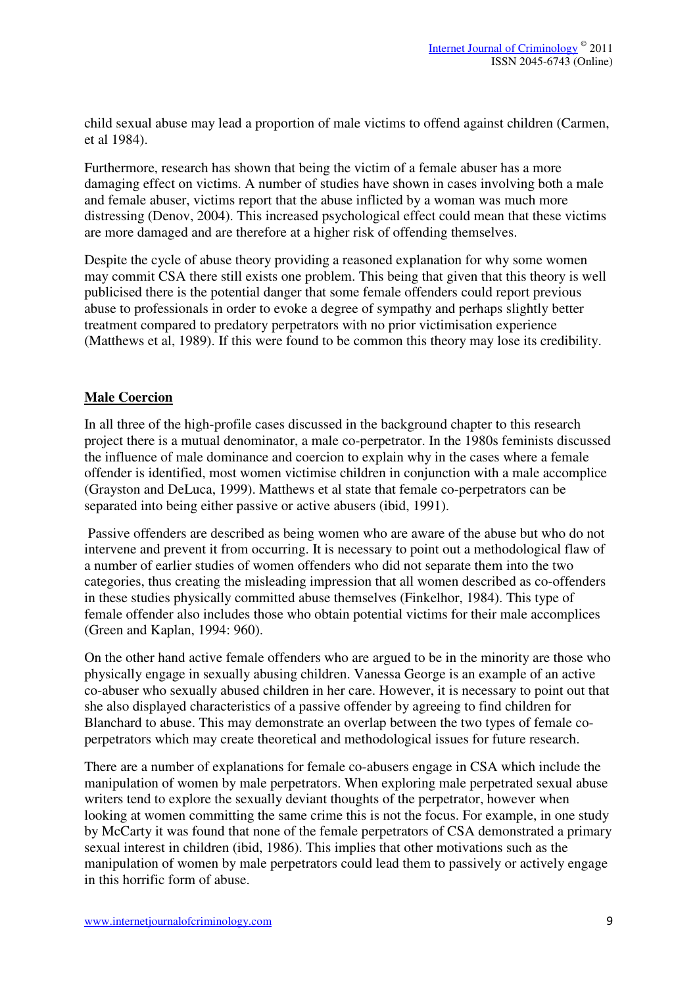child sexual abuse may lead a proportion of male victims to offend against children (Carmen, et al 1984).

Furthermore, research has shown that being the victim of a female abuser has a more damaging effect on victims. A number of studies have shown in cases involving both a male and female abuser, victims report that the abuse inflicted by a woman was much more distressing (Denov, 2004). This increased psychological effect could mean that these victims are more damaged and are therefore at a higher risk of offending themselves.

Despite the cycle of abuse theory providing a reasoned explanation for why some women may commit CSA there still exists one problem. This being that given that this theory is well publicised there is the potential danger that some female offenders could report previous abuse to professionals in order to evoke a degree of sympathy and perhaps slightly better treatment compared to predatory perpetrators with no prior victimisation experience (Matthews et al, 1989). If this were found to be common this theory may lose its credibility.

### **Male Coercion**

In all three of the high-profile cases discussed in the background chapter to this research project there is a mutual denominator, a male co-perpetrator. In the 1980s feminists discussed the influence of male dominance and coercion to explain why in the cases where a female offender is identified, most women victimise children in conjunction with a male accomplice (Grayston and DeLuca, 1999). Matthews et al state that female co-perpetrators can be separated into being either passive or active abusers (ibid, 1991).

 Passive offenders are described as being women who are aware of the abuse but who do not intervene and prevent it from occurring. It is necessary to point out a methodological flaw of a number of earlier studies of women offenders who did not separate them into the two categories, thus creating the misleading impression that all women described as co-offenders in these studies physically committed abuse themselves (Finkelhor, 1984). This type of female offender also includes those who obtain potential victims for their male accomplices (Green and Kaplan, 1994: 960).

On the other hand active female offenders who are argued to be in the minority are those who physically engage in sexually abusing children. Vanessa George is an example of an active co-abuser who sexually abused children in her care. However, it is necessary to point out that she also displayed characteristics of a passive offender by agreeing to find children for Blanchard to abuse. This may demonstrate an overlap between the two types of female coperpetrators which may create theoretical and methodological issues for future research.

There are a number of explanations for female co-abusers engage in CSA which include the manipulation of women by male perpetrators. When exploring male perpetrated sexual abuse writers tend to explore the sexually deviant thoughts of the perpetrator, however when looking at women committing the same crime this is not the focus. For example, in one study by McCarty it was found that none of the female perpetrators of CSA demonstrated a primary sexual interest in children (ibid, 1986). This implies that other motivations such as the manipulation of women by male perpetrators could lead them to passively or actively engage in this horrific form of abuse.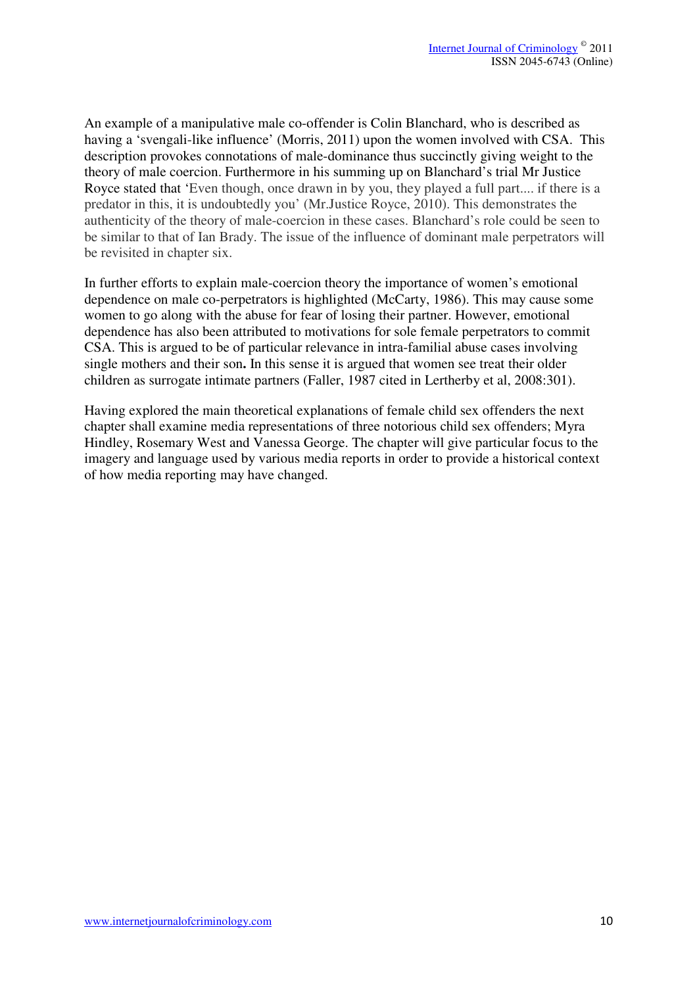An example of a manipulative male co-offender is Colin Blanchard, who is described as having a 'svengali-like influence' (Morris, 2011) upon the women involved with CSA. This description provokes connotations of male-dominance thus succinctly giving weight to the theory of male coercion. Furthermore in his summing up on Blanchard's trial Mr Justice Royce stated that 'Even though, once drawn in by you, they played a full part.... if there is a predator in this, it is undoubtedly you' (Mr.Justice Royce, 2010). This demonstrates the authenticity of the theory of male-coercion in these cases. Blanchard's role could be seen to be similar to that of Ian Brady. The issue of the influence of dominant male perpetrators will be revisited in chapter six.

In further efforts to explain male-coercion theory the importance of women's emotional dependence on male co-perpetrators is highlighted (McCarty, 1986). This may cause some women to go along with the abuse for fear of losing their partner. However, emotional dependence has also been attributed to motivations for sole female perpetrators to commit CSA. This is argued to be of particular relevance in intra-familial abuse cases involving single mothers and their son**.** In this sense it is argued that women see treat their older children as surrogate intimate partners (Faller, 1987 cited in Lertherby et al, 2008:301).

Having explored the main theoretical explanations of female child sex offenders the next chapter shall examine media representations of three notorious child sex offenders; Myra Hindley, Rosemary West and Vanessa George. The chapter will give particular focus to the imagery and language used by various media reports in order to provide a historical context of how media reporting may have changed.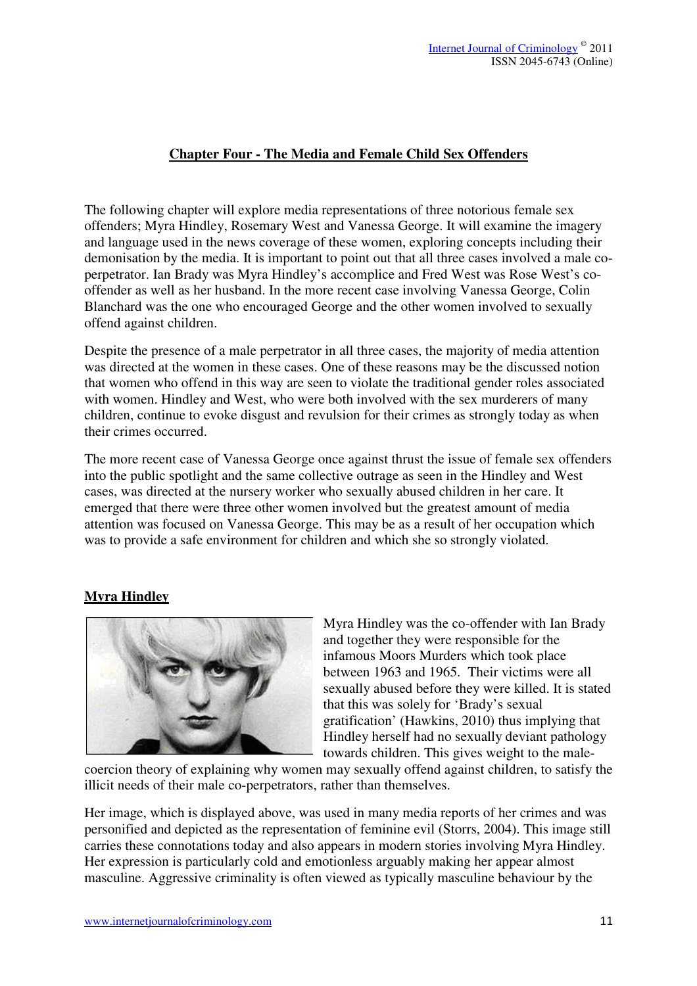# **Chapter Four - The Media and Female Child Sex Offenders**

The following chapter will explore media representations of three notorious female sex offenders; Myra Hindley, Rosemary West and Vanessa George. It will examine the imagery and language used in the news coverage of these women, exploring concepts including their demonisation by the media. It is important to point out that all three cases involved a male coperpetrator. Ian Brady was Myra Hindley's accomplice and Fred West was Rose West's cooffender as well as her husband. In the more recent case involving Vanessa George, Colin Blanchard was the one who encouraged George and the other women involved to sexually offend against children.

Despite the presence of a male perpetrator in all three cases, the majority of media attention was directed at the women in these cases. One of these reasons may be the discussed notion that women who offend in this way are seen to violate the traditional gender roles associated with women. Hindley and West, who were both involved with the sex murderers of many children, continue to evoke disgust and revulsion for their crimes as strongly today as when their crimes occurred.

The more recent case of Vanessa George once against thrust the issue of female sex offenders into the public spotlight and the same collective outrage as seen in the Hindley and West cases, was directed at the nursery worker who sexually abused children in her care. It emerged that there were three other women involved but the greatest amount of media attention was focused on Vanessa George. This may be as a result of her occupation which was to provide a safe environment for children and which she so strongly violated.

# **Myra Hindley**



Myra Hindley was the co-offender with Ian Brady and together they were responsible for the infamous Moors Murders which took place between 1963 and 1965. Their victims were all sexually abused before they were killed. It is stated that this was solely for 'Brady's sexual gratification' (Hawkins, 2010) thus implying that Hindley herself had no sexually deviant pathology towards children. This gives weight to the male-

coercion theory of explaining why women may sexually offend against children, to satisfy the illicit needs of their male co-perpetrators, rather than themselves.

Her image, which is displayed above, was used in many media reports of her crimes and was personified and depicted as the representation of feminine evil (Storrs, 2004). This image still carries these connotations today and also appears in modern stories involving Myra Hindley. Her expression is particularly cold and emotionless arguably making her appear almost masculine. Aggressive criminality is often viewed as typically masculine behaviour by the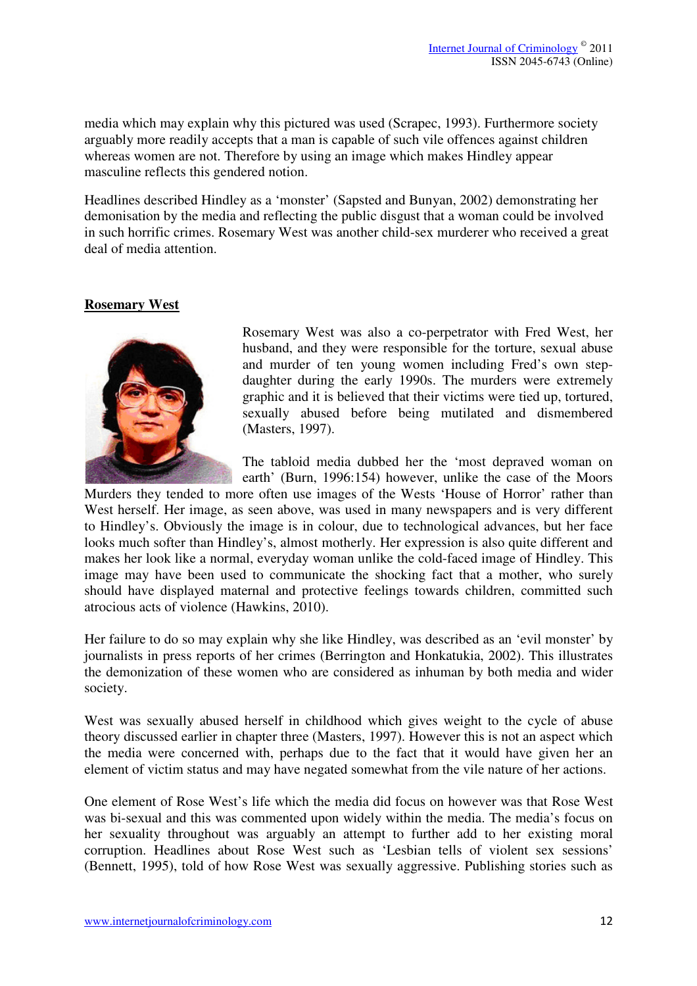media which may explain why this pictured was used (Scrapec, 1993). Furthermore society arguably more readily accepts that a man is capable of such vile offences against children whereas women are not. Therefore by using an image which makes Hindley appear masculine reflects this gendered notion.

Headlines described Hindley as a 'monster' (Sapsted and Bunyan, 2002) demonstrating her demonisation by the media and reflecting the public disgust that a woman could be involved in such horrific crimes. Rosemary West was another child-sex murderer who received a great deal of media attention.

### **Rosemary West**



Rosemary West was also a co-perpetrator with Fred West, her husband, and they were responsible for the torture, sexual abuse and murder of ten young women including Fred's own stepdaughter during the early 1990s. The murders were extremely graphic and it is believed that their victims were tied up, tortured, sexually abused before being mutilated and dismembered (Masters, 1997).

The tabloid media dubbed her the 'most depraved woman on earth' (Burn, 1996:154) however, unlike the case of the Moors

Murders they tended to more often use images of the Wests 'House of Horror' rather than West herself. Her image, as seen above, was used in many newspapers and is very different to Hindley's. Obviously the image is in colour, due to technological advances, but her face looks much softer than Hindley's, almost motherly. Her expression is also quite different and makes her look like a normal, everyday woman unlike the cold-faced image of Hindley. This image may have been used to communicate the shocking fact that a mother, who surely should have displayed maternal and protective feelings towards children, committed such atrocious acts of violence (Hawkins, 2010).

Her failure to do so may explain why she like Hindley, was described as an 'evil monster' by journalists in press reports of her crimes (Berrington and Honkatukia, 2002). This illustrates the demonization of these women who are considered as inhuman by both media and wider society.

West was sexually abused herself in childhood which gives weight to the cycle of abuse theory discussed earlier in chapter three (Masters, 1997). However this is not an aspect which the media were concerned with, perhaps due to the fact that it would have given her an element of victim status and may have negated somewhat from the vile nature of her actions.

One element of Rose West's life which the media did focus on however was that Rose West was bi-sexual and this was commented upon widely within the media. The media's focus on her sexuality throughout was arguably an attempt to further add to her existing moral corruption. Headlines about Rose West such as 'Lesbian tells of violent sex sessions' (Bennett, 1995), told of how Rose West was sexually aggressive. Publishing stories such as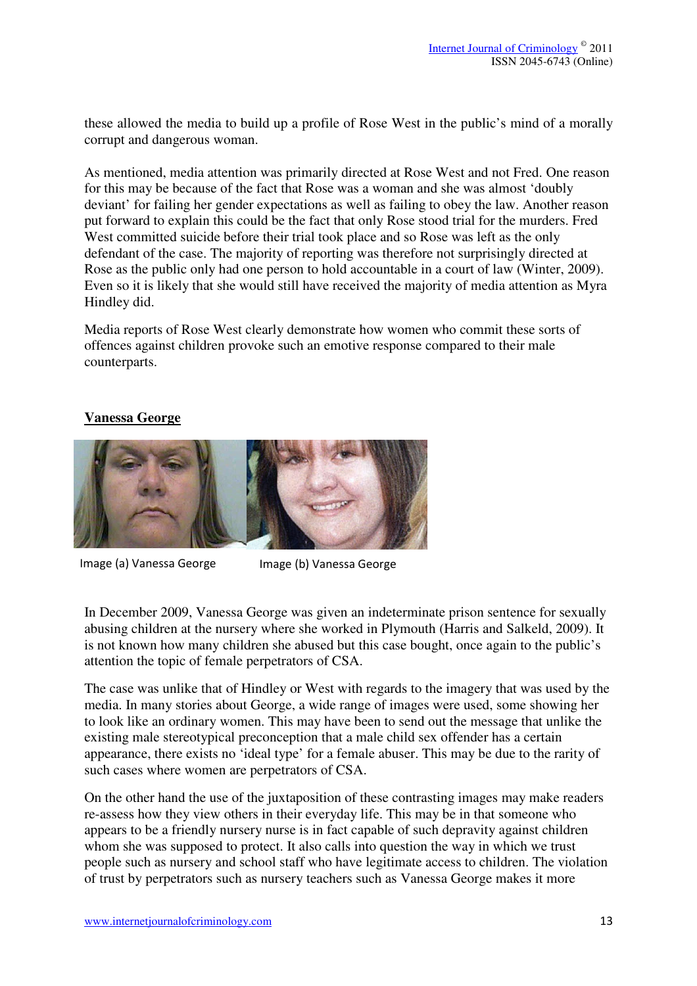these allowed the media to build up a profile of Rose West in the public's mind of a morally corrupt and dangerous woman.

As mentioned, media attention was primarily directed at Rose West and not Fred. One reason for this may be because of the fact that Rose was a woman and she was almost 'doubly deviant' for failing her gender expectations as well as failing to obey the law. Another reason put forward to explain this could be the fact that only Rose stood trial for the murders. Fred West committed suicide before their trial took place and so Rose was left as the only defendant of the case. The majority of reporting was therefore not surprisingly directed at Rose as the public only had one person to hold accountable in a court of law (Winter, 2009). Even so it is likely that she would still have received the majority of media attention as Myra Hindley did.

Media reports of Rose West clearly demonstrate how women who commit these sorts of offences against children provoke such an emotive response compared to their male counterparts.

### **Vanessa George**



Image (a) Vanessa George Image (b) Vanessa George

In December 2009, Vanessa George was given an indeterminate prison sentence for sexually abusing children at the nursery where she worked in Plymouth (Harris and Salkeld, 2009). It is not known how many children she abused but this case bought, once again to the public's attention the topic of female perpetrators of CSA.

The case was unlike that of Hindley or West with regards to the imagery that was used by the media. In many stories about George, a wide range of images were used, some showing her to look like an ordinary women. This may have been to send out the message that unlike the existing male stereotypical preconception that a male child sex offender has a certain appearance, there exists no 'ideal type' for a female abuser. This may be due to the rarity of such cases where women are perpetrators of CSA.

On the other hand the use of the juxtaposition of these contrasting images may make readers re-assess how they view others in their everyday life. This may be in that someone who appears to be a friendly nursery nurse is in fact capable of such depravity against children whom she was supposed to protect. It also calls into question the way in which we trust people such as nursery and school staff who have legitimate access to children. The violation of trust by perpetrators such as nursery teachers such as Vanessa George makes it more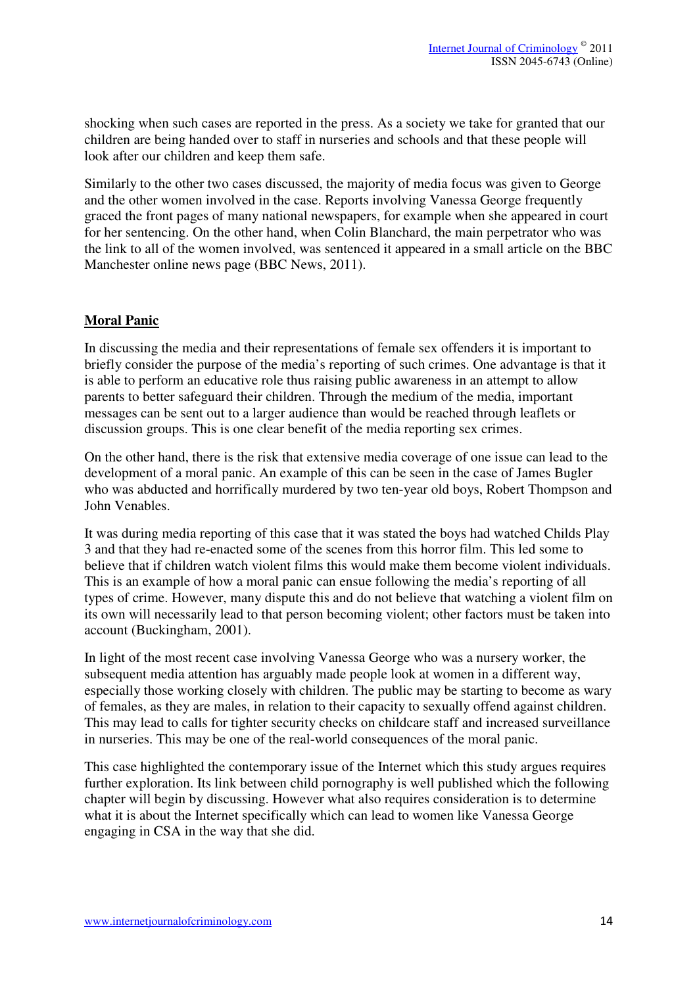shocking when such cases are reported in the press. As a society we take for granted that our children are being handed over to staff in nurseries and schools and that these people will look after our children and keep them safe.

Similarly to the other two cases discussed, the majority of media focus was given to George and the other women involved in the case. Reports involving Vanessa George frequently graced the front pages of many national newspapers, for example when she appeared in court for her sentencing. On the other hand, when Colin Blanchard, the main perpetrator who was the link to all of the women involved, was sentenced it appeared in a small article on the BBC Manchester online news page (BBC News, 2011).

# **Moral Panic**

In discussing the media and their representations of female sex offenders it is important to briefly consider the purpose of the media's reporting of such crimes. One advantage is that it is able to perform an educative role thus raising public awareness in an attempt to allow parents to better safeguard their children. Through the medium of the media, important messages can be sent out to a larger audience than would be reached through leaflets or discussion groups. This is one clear benefit of the media reporting sex crimes.

On the other hand, there is the risk that extensive media coverage of one issue can lead to the development of a moral panic. An example of this can be seen in the case of James Bugler who was abducted and horrifically murdered by two ten-year old boys, Robert Thompson and John Venables.

It was during media reporting of this case that it was stated the boys had watched Childs Play 3 and that they had re-enacted some of the scenes from this horror film. This led some to believe that if children watch violent films this would make them become violent individuals. This is an example of how a moral panic can ensue following the media's reporting of all types of crime. However, many dispute this and do not believe that watching a violent film on its own will necessarily lead to that person becoming violent; other factors must be taken into account (Buckingham, 2001).

In light of the most recent case involving Vanessa George who was a nursery worker, the subsequent media attention has arguably made people look at women in a different way, especially those working closely with children. The public may be starting to become as wary of females, as they are males, in relation to their capacity to sexually offend against children. This may lead to calls for tighter security checks on childcare staff and increased surveillance in nurseries. This may be one of the real-world consequences of the moral panic.

This case highlighted the contemporary issue of the Internet which this study argues requires further exploration. Its link between child pornography is well published which the following chapter will begin by discussing. However what also requires consideration is to determine what it is about the Internet specifically which can lead to women like Vanessa George engaging in CSA in the way that she did.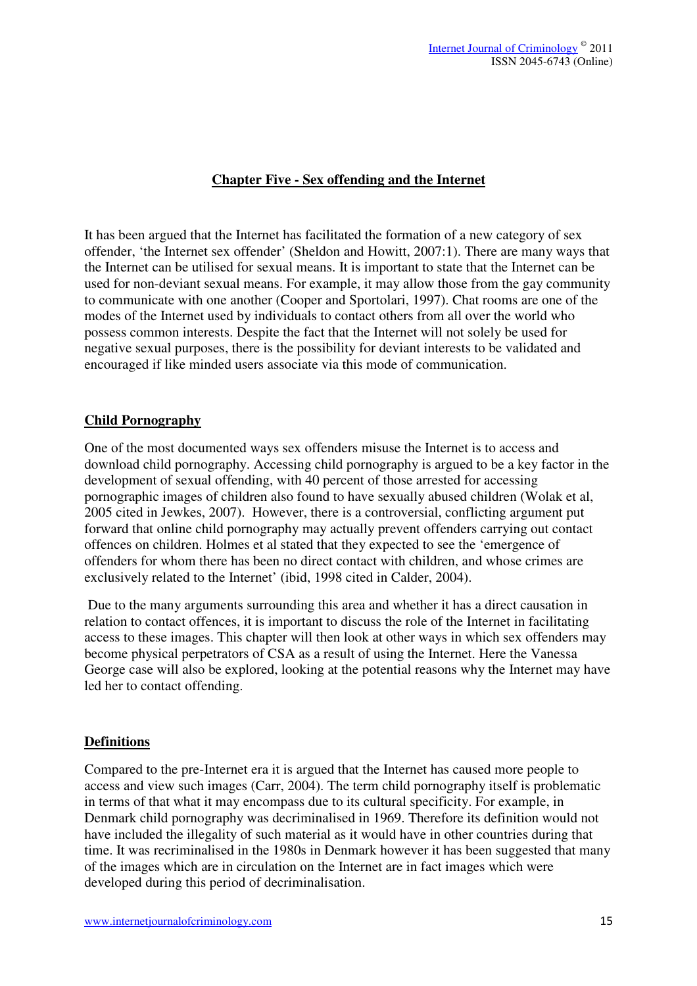### **Chapter Five - Sex offending and the Internet**

It has been argued that the Internet has facilitated the formation of a new category of sex offender, 'the Internet sex offender' (Sheldon and Howitt, 2007:1). There are many ways that the Internet can be utilised for sexual means. It is important to state that the Internet can be used for non-deviant sexual means. For example, it may allow those from the gay community to communicate with one another (Cooper and Sportolari, 1997). Chat rooms are one of the modes of the Internet used by individuals to contact others from all over the world who possess common interests. Despite the fact that the Internet will not solely be used for negative sexual purposes, there is the possibility for deviant interests to be validated and encouraged if like minded users associate via this mode of communication.

#### **Child Pornography**

One of the most documented ways sex offenders misuse the Internet is to access and download child pornography. Accessing child pornography is argued to be a key factor in the development of sexual offending, with 40 percent of those arrested for accessing pornographic images of children also found to have sexually abused children (Wolak et al, 2005 cited in Jewkes, 2007). However, there is a controversial, conflicting argument put forward that online child pornography may actually prevent offenders carrying out contact offences on children. Holmes et al stated that they expected to see the 'emergence of offenders for whom there has been no direct contact with children, and whose crimes are exclusively related to the Internet' (ibid, 1998 cited in Calder, 2004).

 Due to the many arguments surrounding this area and whether it has a direct causation in relation to contact offences, it is important to discuss the role of the Internet in facilitating access to these images. This chapter will then look at other ways in which sex offenders may become physical perpetrators of CSA as a result of using the Internet. Here the Vanessa George case will also be explored, looking at the potential reasons why the Internet may have led her to contact offending.

#### **Definitions**

Compared to the pre-Internet era it is argued that the Internet has caused more people to access and view such images (Carr, 2004). The term child pornography itself is problematic in terms of that what it may encompass due to its cultural specificity. For example, in Denmark child pornography was decriminalised in 1969. Therefore its definition would not have included the illegality of such material as it would have in other countries during that time. It was recriminalised in the 1980s in Denmark however it has been suggested that many of the images which are in circulation on the Internet are in fact images which were developed during this period of decriminalisation.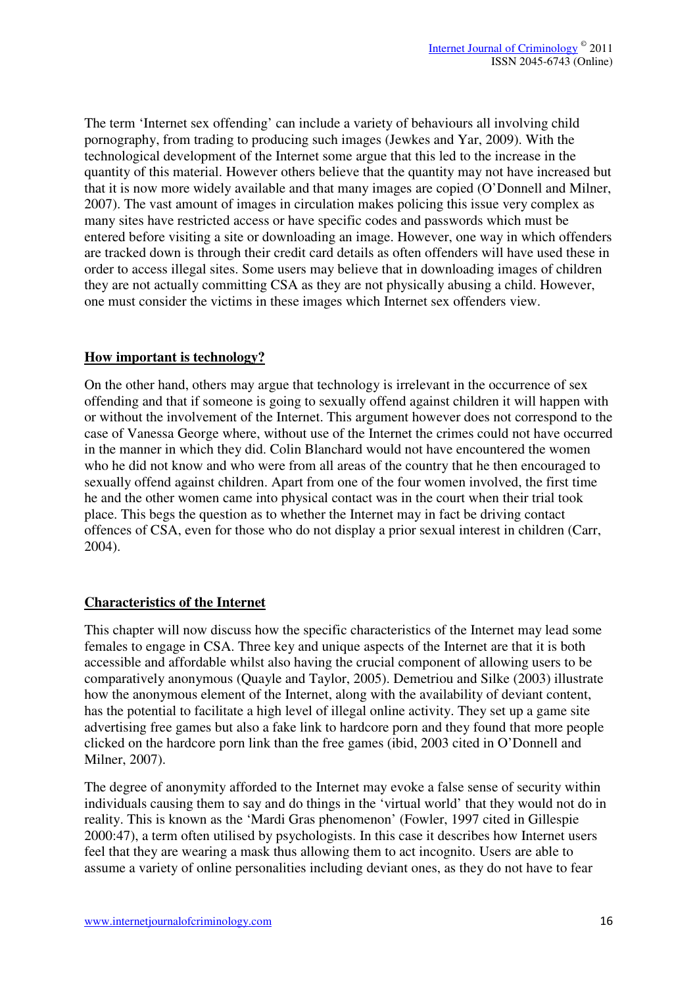The term 'Internet sex offending' can include a variety of behaviours all involving child pornography, from trading to producing such images (Jewkes and Yar, 2009). With the technological development of the Internet some argue that this led to the increase in the quantity of this material. However others believe that the quantity may not have increased but that it is now more widely available and that many images are copied (O'Donnell and Milner, 2007). The vast amount of images in circulation makes policing this issue very complex as many sites have restricted access or have specific codes and passwords which must be entered before visiting a site or downloading an image. However, one way in which offenders are tracked down is through their credit card details as often offenders will have used these in order to access illegal sites. Some users may believe that in downloading images of children they are not actually committing CSA as they are not physically abusing a child. However, one must consider the victims in these images which Internet sex offenders view.

### **How important is technology?**

On the other hand, others may argue that technology is irrelevant in the occurrence of sex offending and that if someone is going to sexually offend against children it will happen with or without the involvement of the Internet. This argument however does not correspond to the case of Vanessa George where, without use of the Internet the crimes could not have occurred in the manner in which they did. Colin Blanchard would not have encountered the women who he did not know and who were from all areas of the country that he then encouraged to sexually offend against children. Apart from one of the four women involved, the first time he and the other women came into physical contact was in the court when their trial took place. This begs the question as to whether the Internet may in fact be driving contact offences of CSA, even for those who do not display a prior sexual interest in children (Carr, 2004).

### **Characteristics of the Internet**

This chapter will now discuss how the specific characteristics of the Internet may lead some females to engage in CSA. Three key and unique aspects of the Internet are that it is both accessible and affordable whilst also having the crucial component of allowing users to be comparatively anonymous (Quayle and Taylor, 2005). Demetriou and Silke (2003) illustrate how the anonymous element of the Internet, along with the availability of deviant content, has the potential to facilitate a high level of illegal online activity. They set up a game site advertising free games but also a fake link to hardcore porn and they found that more people clicked on the hardcore porn link than the free games (ibid, 2003 cited in O'Donnell and Milner, 2007).

The degree of anonymity afforded to the Internet may evoke a false sense of security within individuals causing them to say and do things in the 'virtual world' that they would not do in reality. This is known as the 'Mardi Gras phenomenon' (Fowler, 1997 cited in Gillespie 2000:47), a term often utilised by psychologists. In this case it describes how Internet users feel that they are wearing a mask thus allowing them to act incognito. Users are able to assume a variety of online personalities including deviant ones, as they do not have to fear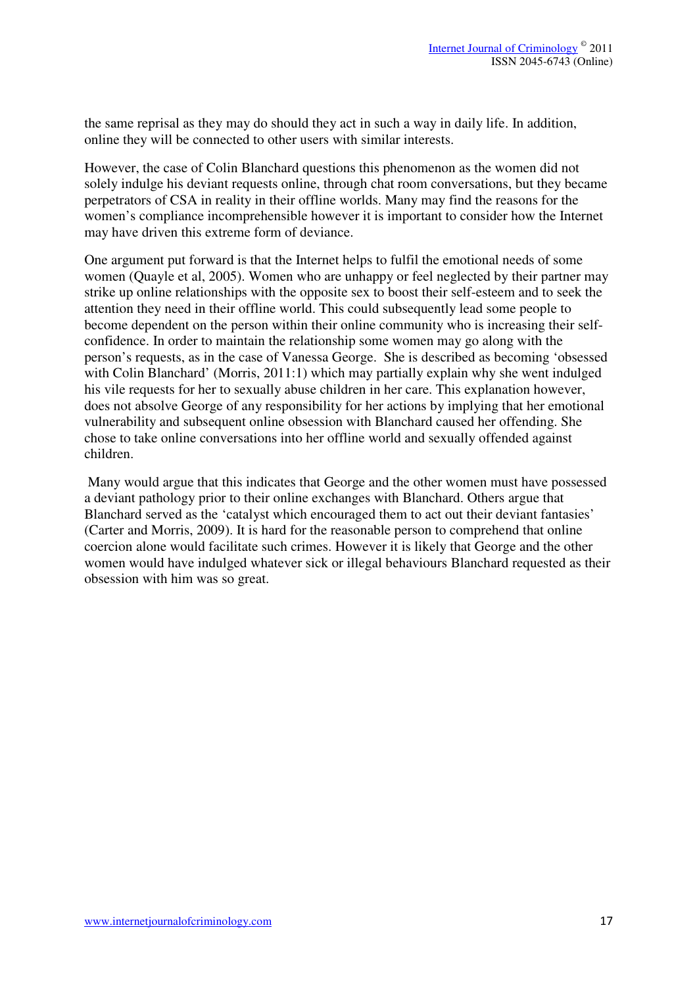the same reprisal as they may do should they act in such a way in daily life. In addition, online they will be connected to other users with similar interests.

However, the case of Colin Blanchard questions this phenomenon as the women did not solely indulge his deviant requests online, through chat room conversations, but they became perpetrators of CSA in reality in their offline worlds. Many may find the reasons for the women's compliance incomprehensible however it is important to consider how the Internet may have driven this extreme form of deviance.

One argument put forward is that the Internet helps to fulfil the emotional needs of some women (Quayle et al, 2005). Women who are unhappy or feel neglected by their partner may strike up online relationships with the opposite sex to boost their self-esteem and to seek the attention they need in their offline world. This could subsequently lead some people to become dependent on the person within their online community who is increasing their selfconfidence. In order to maintain the relationship some women may go along with the person's requests, as in the case of Vanessa George. She is described as becoming 'obsessed with Colin Blanchard' (Morris, 2011:1) which may partially explain why she went indulged his vile requests for her to sexually abuse children in her care. This explanation however, does not absolve George of any responsibility for her actions by implying that her emotional vulnerability and subsequent online obsession with Blanchard caused her offending. She chose to take online conversations into her offline world and sexually offended against children.

 Many would argue that this indicates that George and the other women must have possessed a deviant pathology prior to their online exchanges with Blanchard. Others argue that Blanchard served as the 'catalyst which encouraged them to act out their deviant fantasies' (Carter and Morris, 2009). It is hard for the reasonable person to comprehend that online coercion alone would facilitate such crimes. However it is likely that George and the other women would have indulged whatever sick or illegal behaviours Blanchard requested as their obsession with him was so great.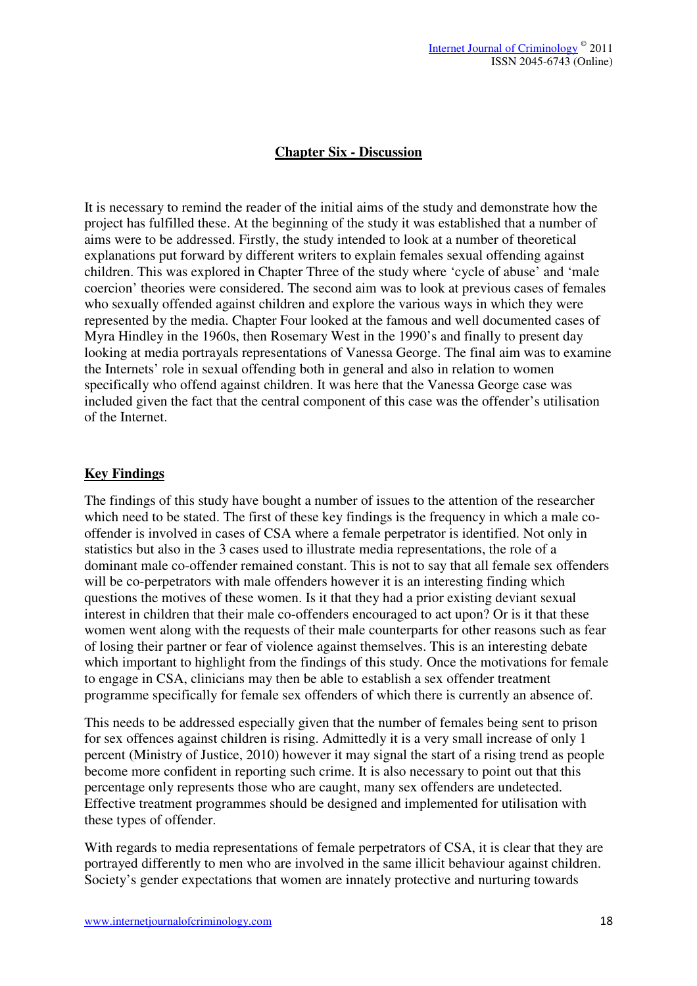# **Chapter Six - Discussion**

It is necessary to remind the reader of the initial aims of the study and demonstrate how the project has fulfilled these. At the beginning of the study it was established that a number of aims were to be addressed. Firstly, the study intended to look at a number of theoretical explanations put forward by different writers to explain females sexual offending against children. This was explored in Chapter Three of the study where 'cycle of abuse' and 'male coercion' theories were considered. The second aim was to look at previous cases of females who sexually offended against children and explore the various ways in which they were represented by the media. Chapter Four looked at the famous and well documented cases of Myra Hindley in the 1960s, then Rosemary West in the 1990's and finally to present day looking at media portrayals representations of Vanessa George. The final aim was to examine the Internets' role in sexual offending both in general and also in relation to women specifically who offend against children. It was here that the Vanessa George case was included given the fact that the central component of this case was the offender's utilisation of the Internet.

#### **Key Findings**

The findings of this study have bought a number of issues to the attention of the researcher which need to be stated. The first of these key findings is the frequency in which a male cooffender is involved in cases of CSA where a female perpetrator is identified. Not only in statistics but also in the 3 cases used to illustrate media representations, the role of a dominant male co-offender remained constant. This is not to say that all female sex offenders will be co-perpetrators with male offenders however it is an interesting finding which questions the motives of these women. Is it that they had a prior existing deviant sexual interest in children that their male co-offenders encouraged to act upon? Or is it that these women went along with the requests of their male counterparts for other reasons such as fear of losing their partner or fear of violence against themselves. This is an interesting debate which important to highlight from the findings of this study. Once the motivations for female to engage in CSA, clinicians may then be able to establish a sex offender treatment programme specifically for female sex offenders of which there is currently an absence of.

This needs to be addressed especially given that the number of females being sent to prison for sex offences against children is rising. Admittedly it is a very small increase of only 1 percent (Ministry of Justice, 2010) however it may signal the start of a rising trend as people become more confident in reporting such crime. It is also necessary to point out that this percentage only represents those who are caught, many sex offenders are undetected. Effective treatment programmes should be designed and implemented for utilisation with these types of offender.

With regards to media representations of female perpetrators of CSA, it is clear that they are portrayed differently to men who are involved in the same illicit behaviour against children. Society's gender expectations that women are innately protective and nurturing towards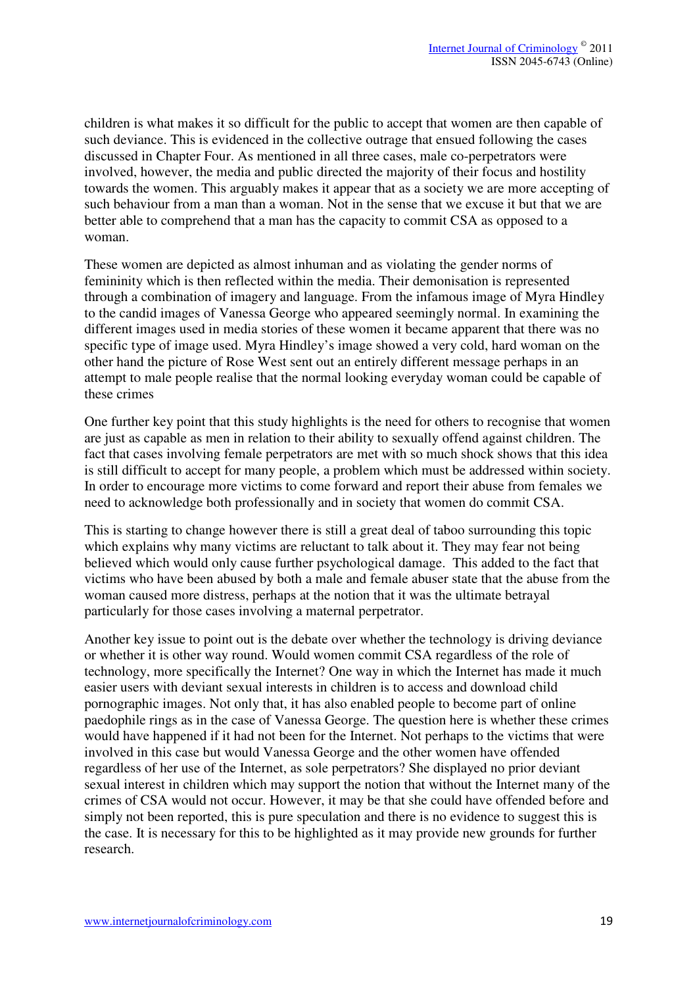children is what makes it so difficult for the public to accept that women are then capable of such deviance. This is evidenced in the collective outrage that ensued following the cases discussed in Chapter Four. As mentioned in all three cases, male co-perpetrators were involved, however, the media and public directed the majority of their focus and hostility towards the women. This arguably makes it appear that as a society we are more accepting of such behaviour from a man than a woman. Not in the sense that we excuse it but that we are better able to comprehend that a man has the capacity to commit CSA as opposed to a woman.

These women are depicted as almost inhuman and as violating the gender norms of femininity which is then reflected within the media. Their demonisation is represented through a combination of imagery and language. From the infamous image of Myra Hindley to the candid images of Vanessa George who appeared seemingly normal. In examining the different images used in media stories of these women it became apparent that there was no specific type of image used. Myra Hindley's image showed a very cold, hard woman on the other hand the picture of Rose West sent out an entirely different message perhaps in an attempt to male people realise that the normal looking everyday woman could be capable of these crimes

One further key point that this study highlights is the need for others to recognise that women are just as capable as men in relation to their ability to sexually offend against children. The fact that cases involving female perpetrators are met with so much shock shows that this idea is still difficult to accept for many people, a problem which must be addressed within society. In order to encourage more victims to come forward and report their abuse from females we need to acknowledge both professionally and in society that women do commit CSA.

This is starting to change however there is still a great deal of taboo surrounding this topic which explains why many victims are reluctant to talk about it. They may fear not being believed which would only cause further psychological damage. This added to the fact that victims who have been abused by both a male and female abuser state that the abuse from the woman caused more distress, perhaps at the notion that it was the ultimate betrayal particularly for those cases involving a maternal perpetrator.

Another key issue to point out is the debate over whether the technology is driving deviance or whether it is other way round. Would women commit CSA regardless of the role of technology, more specifically the Internet? One way in which the Internet has made it much easier users with deviant sexual interests in children is to access and download child pornographic images. Not only that, it has also enabled people to become part of online paedophile rings as in the case of Vanessa George. The question here is whether these crimes would have happened if it had not been for the Internet. Not perhaps to the victims that were involved in this case but would Vanessa George and the other women have offended regardless of her use of the Internet, as sole perpetrators? She displayed no prior deviant sexual interest in children which may support the notion that without the Internet many of the crimes of CSA would not occur. However, it may be that she could have offended before and simply not been reported, this is pure speculation and there is no evidence to suggest this is the case. It is necessary for this to be highlighted as it may provide new grounds for further research.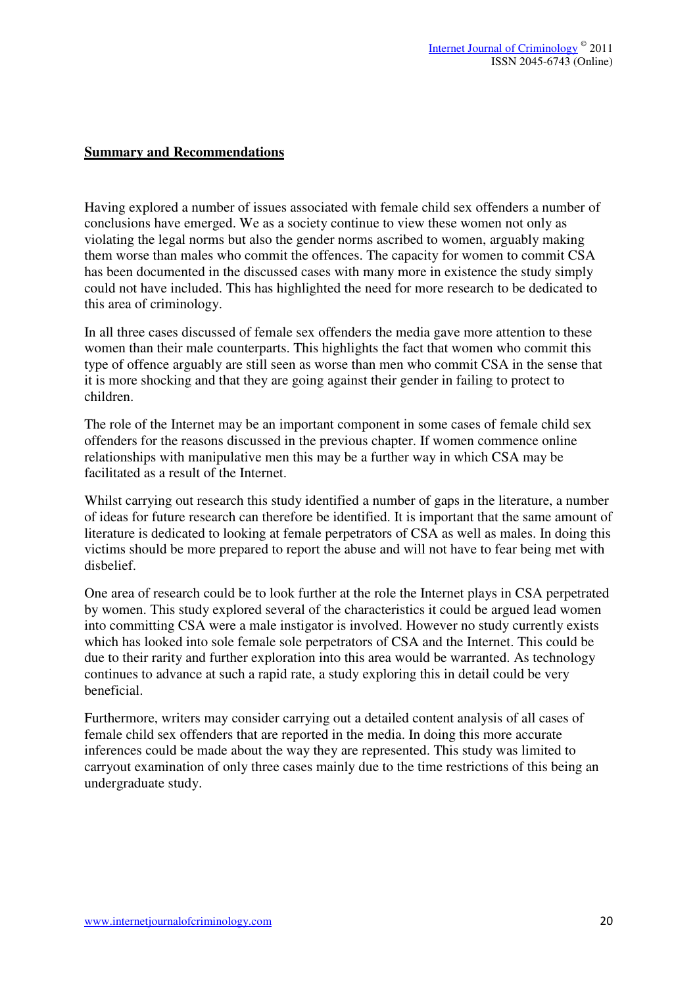### **Summary and Recommendations**

Having explored a number of issues associated with female child sex offenders a number of conclusions have emerged. We as a society continue to view these women not only as violating the legal norms but also the gender norms ascribed to women, arguably making them worse than males who commit the offences. The capacity for women to commit CSA has been documented in the discussed cases with many more in existence the study simply could not have included. This has highlighted the need for more research to be dedicated to this area of criminology.

In all three cases discussed of female sex offenders the media gave more attention to these women than their male counterparts. This highlights the fact that women who commit this type of offence arguably are still seen as worse than men who commit CSA in the sense that it is more shocking and that they are going against their gender in failing to protect to children.

The role of the Internet may be an important component in some cases of female child sex offenders for the reasons discussed in the previous chapter. If women commence online relationships with manipulative men this may be a further way in which CSA may be facilitated as a result of the Internet.

Whilst carrying out research this study identified a number of gaps in the literature, a number of ideas for future research can therefore be identified. It is important that the same amount of literature is dedicated to looking at female perpetrators of CSA as well as males. In doing this victims should be more prepared to report the abuse and will not have to fear being met with disbelief.

One area of research could be to look further at the role the Internet plays in CSA perpetrated by women. This study explored several of the characteristics it could be argued lead women into committing CSA were a male instigator is involved. However no study currently exists which has looked into sole female sole perpetrators of CSA and the Internet. This could be due to their rarity and further exploration into this area would be warranted. As technology continues to advance at such a rapid rate, a study exploring this in detail could be very beneficial.

Furthermore, writers may consider carrying out a detailed content analysis of all cases of female child sex offenders that are reported in the media. In doing this more accurate inferences could be made about the way they are represented. This study was limited to carryout examination of only three cases mainly due to the time restrictions of this being an undergraduate study.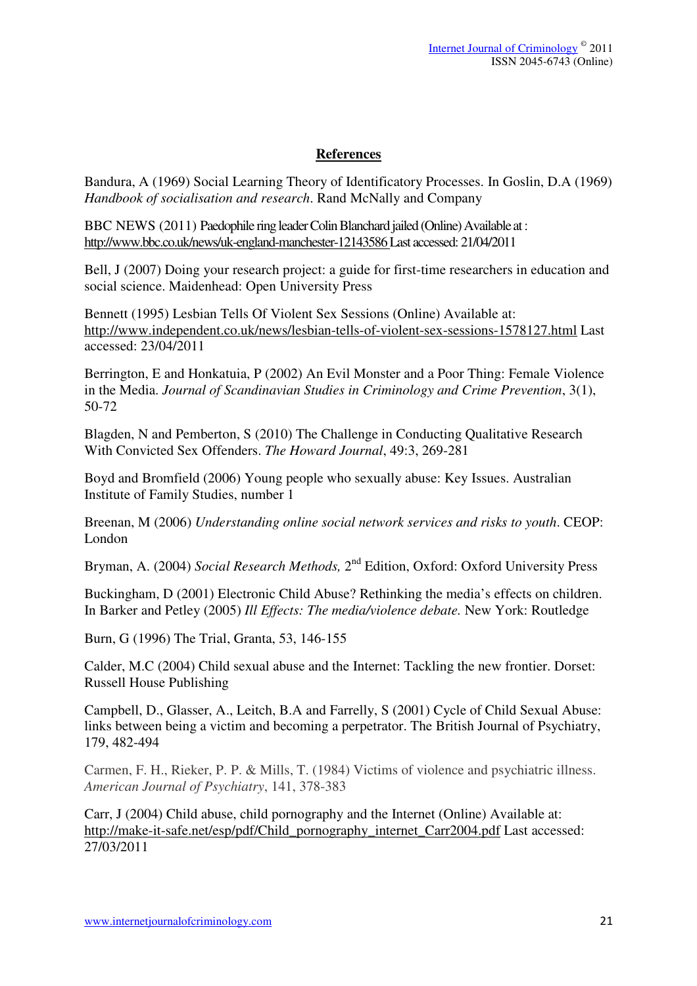# **References**

Bandura, A (1969) Social Learning Theory of Identificatory Processes. In Goslin, D.A (1969) *Handbook of socialisation and research*. Rand McNally and Company

BBC NEWS (2011) Paedophile ring leader Colin Blanchard jailed (Online) Available at : http://www.bbc.co.uk/news/uk-england-manchester-12143586 Last accessed: 21/04/2011

Bell, J (2007) Doing your research project: a guide for first-time researchers in education and social science. Maidenhead: Open University Press

Bennett (1995) Lesbian Tells Of Violent Sex Sessions (Online) Available at: http://www.independent.co.uk/news/lesbian-tells-of-violent-sex-sessions-1578127.html Last accessed: 23/04/2011

Berrington, E and Honkatuia, P (2002) An Evil Monster and a Poor Thing: Female Violence in the Media. *Journal of Scandinavian Studies in Criminology and Crime Prevention*, 3(1), 50-72

Blagden, N and Pemberton, S (2010) The Challenge in Conducting Qualitative Research With Convicted Sex Offenders. *The Howard Journal*, 49:3, 269-281

Boyd and Bromfield (2006) Young people who sexually abuse: Key Issues. Australian Institute of Family Studies, number 1

Breenan, M (2006) *Understanding online social network services and risks to youth*. CEOP: London

Bryman, A. (2004) *Social Research Methods*, 2<sup>nd</sup> Edition, Oxford: Oxford University Press

Buckingham, D (2001) Electronic Child Abuse? Rethinking the media's effects on children. In Barker and Petley (2005) *Ill Effects: The media/violence debate.* New York: Routledge

Burn, G (1996) The Trial, Granta, 53, 146-155

Calder, M.C (2004) Child sexual abuse and the Internet: Tackling the new frontier. Dorset: Russell House Publishing

Campbell, D., Glasser, A., Leitch, B.A and Farrelly, S (2001) Cycle of Child Sexual Abuse: links between being a victim and becoming a perpetrator. The British Journal of Psychiatry, 179, 482-494

Carmen, F. H., Rieker, P. P. & Mills, T. (1984) Victims of violence and psychiatric illness. *American Journal of Psychiatry*, 141, 378-383

Carr, J (2004) Child abuse, child pornography and the Internet (Online) Available at: http://make-it-safe.net/esp/pdf/Child\_pornography\_internet\_Carr2004.pdf Last accessed: 27/03/2011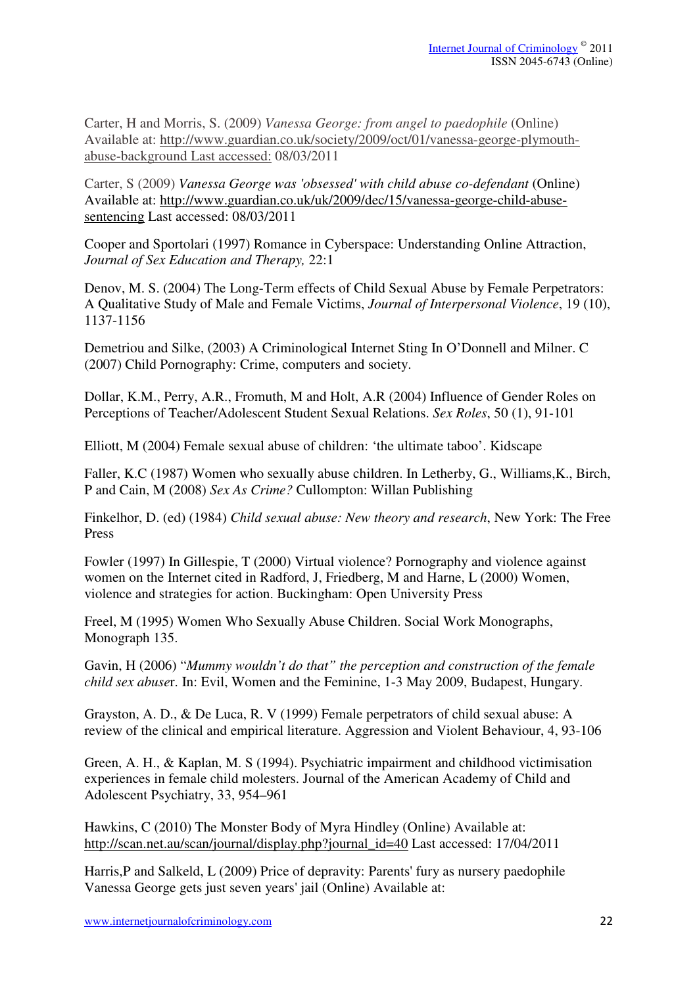Carter, H and Morris, S. (2009) *Vanessa George: from angel to paedophile* (Online) Available at: http://www.guardian.co.uk/society/2009/oct/01/vanessa-george-plymouthabuse-background Last accessed: 08/03/2011

Carter, S (2009) *Vanessa George was 'obsessed' with child abuse co-defendant* (Online) Available at: http://www.guardian.co.uk/uk/2009/dec/15/vanessa-george-child-abusesentencing Last accessed: 08/03/2011

Cooper and Sportolari (1997) Romance in Cyberspace: Understanding Online Attraction, *Journal of Sex Education and Therapy,* 22:1

Denov, M. S. (2004) The Long-Term effects of Child Sexual Abuse by Female Perpetrators: A Qualitative Study of Male and Female Victims, *Journal of Interpersonal Violence*, 19 (10), 1137-1156

Demetriou and Silke, (2003) A Criminological Internet Sting In O'Donnell and Milner. C (2007) Child Pornography: Crime, computers and society.

Dollar, K.M., Perry, A.R., Fromuth, M and Holt, A.R (2004) Influence of Gender Roles on Perceptions of Teacher/Adolescent Student Sexual Relations. *Sex Roles*, 50 (1), 91-101

Elliott, M (2004) Female sexual abuse of children: 'the ultimate taboo'. Kidscape

Faller, K.C (1987) Women who sexually abuse children. In Letherby, G., Williams,K., Birch, P and Cain, M (2008) *Sex As Crime?* Cullompton: Willan Publishing

Finkelhor, D. (ed) (1984) *Child sexual abuse: New theory and research*, New York: The Free Press

Fowler (1997) In Gillespie, T (2000) Virtual violence? Pornography and violence against women on the Internet cited in Radford, J, Friedberg, M and Harne, L (2000) Women, violence and strategies for action. Buckingham: Open University Press

Freel, M (1995) Women Who Sexually Abuse Children. Social Work Monographs, Monograph 135.

Gavin, H (2006) "*Mummy wouldn't do that" the perception and construction of the female child sex abuse*r. In: Evil, Women and the Feminine, 1-3 May 2009, Budapest, Hungary.

Grayston, A. D., & De Luca, R. V (1999) Female perpetrators of child sexual abuse: A review of the clinical and empirical literature. Aggression and Violent Behaviour, 4, 93-106

Green, A. H., & Kaplan, M. S (1994). Psychiatric impairment and childhood victimisation experiences in female child molesters. Journal of the American Academy of Child and Adolescent Psychiatry, 33, 954–961

Hawkins, C (2010) The Monster Body of Myra Hindley (Online) Available at: http://scan.net.au/scan/journal/display.php?journal\_id=40 Last accessed: 17/04/2011

Harris,P and Salkeld, L (2009) Price of depravity: Parents' fury as nursery paedophile Vanessa George gets just seven years' jail (Online) Available at: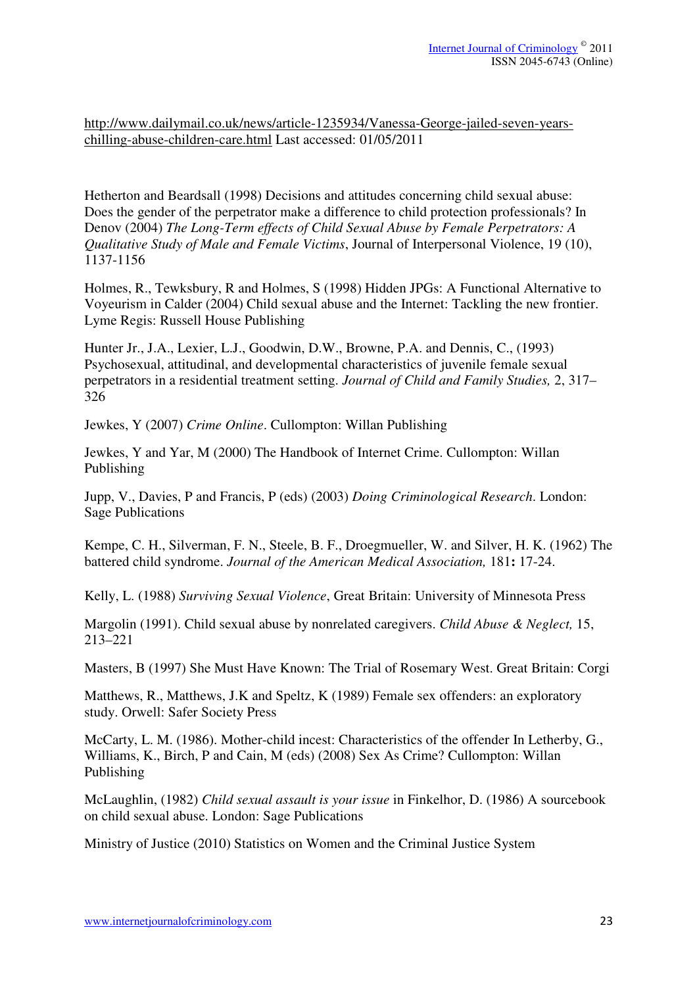http://www.dailymail.co.uk/news/article-1235934/Vanessa-George-jailed-seven-yearschilling-abuse-children-care.html Last accessed: 01/05/2011

Hetherton and Beardsall (1998) Decisions and attitudes concerning child sexual abuse: Does the gender of the perpetrator make a difference to child protection professionals? In Denov (2004) *The Long-Term effects of Child Sexual Abuse by Female Perpetrators: A Qualitative Study of Male and Female Victims*, Journal of Interpersonal Violence, 19 (10), 1137-1156

Holmes, R., Tewksbury, R and Holmes, S (1998) Hidden JPGs: A Functional Alternative to Voyeurism in Calder (2004) Child sexual abuse and the Internet: Tackling the new frontier. Lyme Regis: Russell House Publishing

Hunter Jr., J.A., Lexier, L.J., Goodwin, D.W., Browne, P.A. and Dennis, C., (1993) Psychosexual, attitudinal, and developmental characteristics of juvenile female sexual perpetrators in a residential treatment setting. *Journal of Child and Family Studies,* 2, 317– 326

Jewkes, Y (2007) *Crime Online*. Cullompton: Willan Publishing

Jewkes, Y and Yar, M (2000) The Handbook of Internet Crime. Cullompton: Willan Publishing

Jupp, V., Davies, P and Francis, P (eds) (2003) *Doing Criminological Research*. London: Sage Publications

Kempe, C. H., Silverman, F. N., Steele, B. F., Droegmueller, W. and Silver, H. K. (1962) The battered child syndrome. *Journal of the American Medical Association,* 181**:** 17-24.

Kelly, L. (1988) *Surviving Sexual Violence*, Great Britain: University of Minnesota Press

Margolin (1991). Child sexual abuse by nonrelated caregivers. *Child Abuse & Neglect,* 15, 213–221

Masters, B (1997) She Must Have Known: The Trial of Rosemary West. Great Britain: Corgi

Matthews, R., Matthews, J.K and Speltz, K (1989) Female sex offenders: an exploratory study. Orwell: Safer Society Press

McCarty, L. M. (1986). Mother-child incest: Characteristics of the offender In Letherby, G., Williams, K., Birch, P and Cain, M (eds) (2008) Sex As Crime? Cullompton: Willan Publishing

McLaughlin, (1982) *Child sexual assault is your issue* in Finkelhor, D. (1986) A sourcebook on child sexual abuse. London: Sage Publications

Ministry of Justice (2010) Statistics on Women and the Criminal Justice System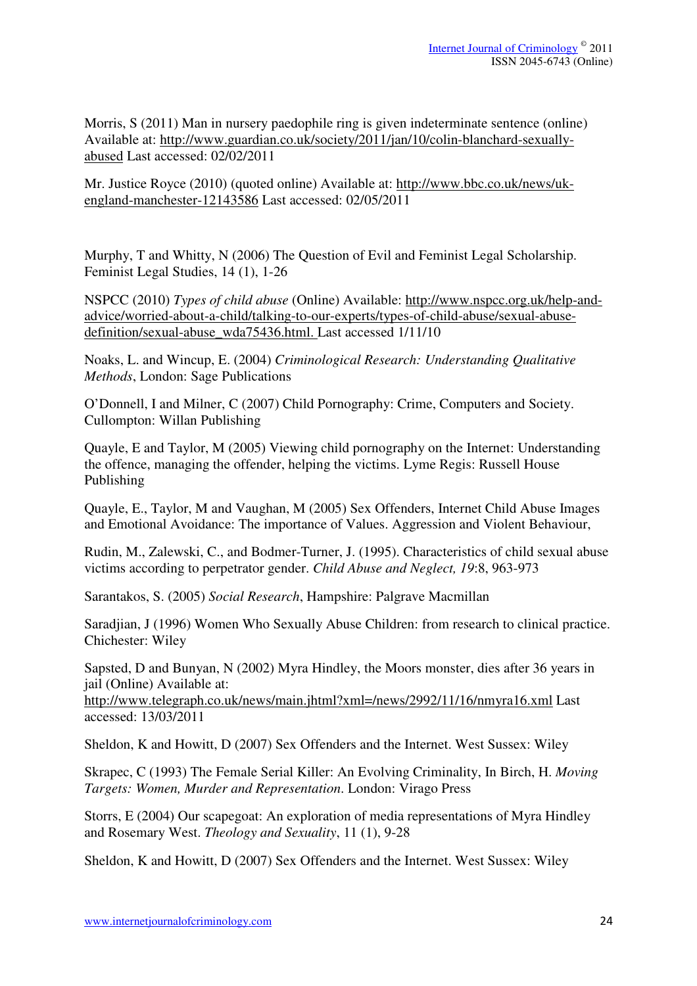Morris, S (2011) Man in nursery paedophile ring is given indeterminate sentence (online) Available at: http://www.guardian.co.uk/society/2011/jan/10/colin-blanchard-sexuallyabused Last accessed: 02/02/2011

Mr. Justice Royce (2010) (quoted online) Available at: http://www.bbc.co.uk/news/ukengland-manchester-12143586 Last accessed: 02/05/2011

Murphy, T and Whitty, N (2006) The Question of Evil and Feminist Legal Scholarship. Feminist Legal Studies, 14 (1), 1-26

NSPCC (2010) *Types of child abuse* (Online) Available: http://www.nspcc.org.uk/help-andadvice/worried-about-a-child/talking-to-our-experts/types-of-child-abuse/sexual-abusedefinition/sexual-abuse\_wda75436.html. Last accessed 1/11/10

Noaks, L. and Wincup, E. (2004) *Criminological Research: Understanding Qualitative Methods*, London: Sage Publications

O'Donnell, I and Milner, C (2007) Child Pornography: Crime, Computers and Society. Cullompton: Willan Publishing

Quayle, E and Taylor, M (2005) Viewing child pornography on the Internet: Understanding the offence, managing the offender, helping the victims. Lyme Regis: Russell House Publishing

Quayle, E., Taylor, M and Vaughan, M (2005) Sex Offenders, Internet Child Abuse Images and Emotional Avoidance: The importance of Values. Aggression and Violent Behaviour,

Rudin, M., Zalewski, C., and Bodmer-Turner, J. (1995). Characteristics of child sexual abuse victims according to perpetrator gender. *Child Abuse and Neglect, 19*:8, 963-973

Sarantakos, S. (2005) *Social Research*, Hampshire: Palgrave Macmillan

Saradjian, J (1996) Women Who Sexually Abuse Children: from research to clinical practice. Chichester: Wiley

Sapsted, D and Bunyan, N (2002) Myra Hindley, the Moors monster, dies after 36 years in jail (Online) Available at:

http://www.telegraph.co.uk/news/main.jhtml?xml=/news/2992/11/16/nmyra16.xml Last accessed: 13/03/2011

Sheldon, K and Howitt, D (2007) Sex Offenders and the Internet. West Sussex: Wiley

Skrapec, C (1993) The Female Serial Killer: An Evolving Criminality, In Birch, H. *Moving Targets: Women, Murder and Representation*. London: Virago Press

Storrs, E (2004) Our scapegoat: An exploration of media representations of Myra Hindley and Rosemary West. *Theology and Sexuality*, 11 (1), 9-28

Sheldon, K and Howitt, D (2007) Sex Offenders and the Internet. West Sussex: Wiley